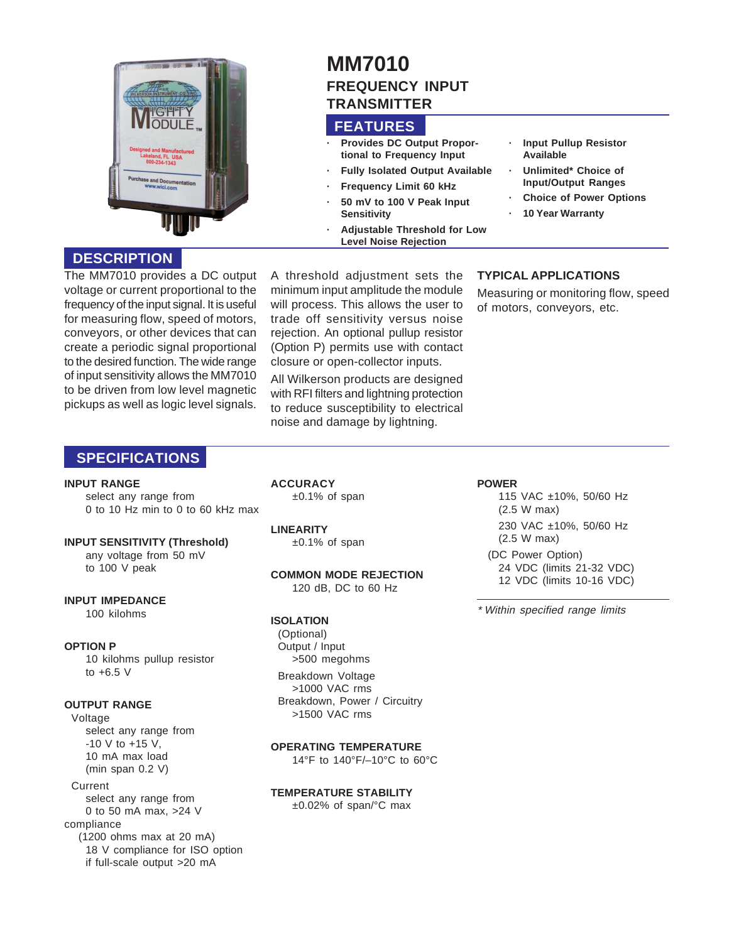

## **DESCRIPTION**

The MM7010 provides a DC output voltage or current proportional to the frequency of the input signal. It is useful for measuring flow, speed of motors, conveyors, or other devices that can create a periodic signal proportional to the desired function. The wide range of input sensitivity allows the MM7010 to be driven from low level magnetic pickups as well as logic level signals.

A threshold adjustment sets the minimum input amplitude the module will process. This allows the user to trade off sensitivity versus noise rejection. An optional pullup resistor (Option P) permits use with contact closure or open-collector inputs.

**Sensitivity**

**FEATURES**

**TRANSMITTER**

**MM7010**

**· Provides DC Output Proportional to Frequency Input · Fully Isolated Output Available**

**· Adjustable Threshold for Low Level Noise Rejection**

**Frequency Limit 60 kHz · 50 mV to 100 V Peak Input**

**FREQUENCY INPUT**

All Wilkerson products are designed with RFI filters and lightning protection to reduce susceptibility to electrical noise and damage by lightning.

**· 10 Year Warranty**

**· Input Pullup Resistor**

**· Unlimited\* Choice of Input/Output Ranges · Choice of Power Options**

**Available**

### **TYPICAL APPLICATIONS**

Measuring or monitoring flow, speed of motors, conveyors, etc.

## **SPECIFICATIONS**

#### **INPUT RANGE**

select any range from 0 to 10 Hz min to 0 to 60 kHz max

## **INPUT SENSITIVITY (Threshold)** any voltage from 50 mV

to 100 V peak

**INPUT IMPEDANCE** 100 kilohms

#### **OPTION P**

10 kilohms pullup resistor to  $+6.5$  V

#### **OUTPUT RANGE**

Voltage select any range from -10 V to +15 V, 10 mA max load (min span 0.2 V) Current select any range from 0 to 50 mA max, >24 V compliance (1200 ohms max at 20 mA)

18 V compliance for ISO option if full-scale output >20 mA

**ACCURACY** ±0.1% of span

**LINEARITY** ±0.1% of span

#### **COMMON MODE REJECTION** 120 dB, DC to 60 Hz

## **ISOLATION**

(Optional) Output / Input >500 megohms Breakdown Voltage >1000 VAC rms

Breakdown, Power / Circuitry >1500 VAC rms

### **OPERATING TEMPERATURE**

14°F to 140°F/–10°C to 60°C

#### **TEMPERATURE STABILITY**

±0.02% of span/°C max

115 VAC ±10%, 50/60 Hz (2.5 W max) 230 VAC ±10%, 50/60 Hz (2.5 W max)

24 VDC (limits 21-32 VDC) 12 VDC (limits 10-16 VDC)

\* Within specified range limits

## **POWER**

(DC Power Option)